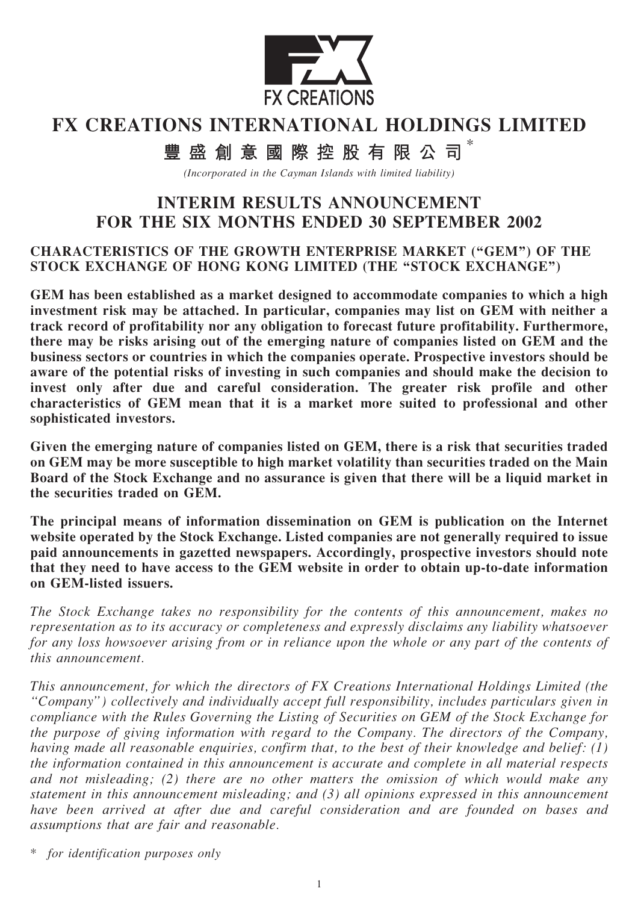

# FX CREATIONS INTERNATIONAL HOLDINGS LIMITED

豐盛創意國際控股有限公司 \*

(Incorporated in the Cayman Islands with limited liability)

# INTERIM RESULTS ANNOUNCEMENT FOR THE SIX MONTHS ENDED 30 SEPTEMBER 2002

#### CHARACTERISTICS OF THE GROWTH ENTERPRISE MARKET (''GEM'') OF THE STOCK EXCHANGE OF HONG KONG LIMITED (THE "STOCK EXCHANGE")

GEM has been established as a market designed to accommodate companies to which a high investment risk may be attached. In particular, companies may list on GEM with neither a track record of profitability nor any obligation to forecast future profitability. Furthermore, there may be risks arising out of the emerging nature of companies listed on GEM and the business sectors or countries in which the companies operate. Prospective investors should be aware of the potential risks of investing in such companies and should make the decision to invest only after due and careful consideration. The greater risk profile and other characteristics of GEM mean that it is a market more suited to professional and other sophisticated investors.

Given the emerging nature of companies listed on GEM, there is a risk that securities traded on GEM may be more susceptible to high market volatility than securities traded on the Main Board of the Stock Exchange and no assurance is given that there will be a liquid market in the securities traded on GEM.

The principal means of information dissemination on GEM is publication on the Internet website operated by the Stock Exchange. Listed companies are not generally required to issue paid announcements in gazetted newspapers. Accordingly, prospective investors should note that they need to have access to the GEM website in order to obtain up-to-date information on GEM-listed issuers.

The Stock Exchange takes no responsibility for the contents of this announcement, makes no representation as to its accuracy or completeness and expressly disclaims any liability whatsoever for any loss howsoever arising from or in reliance upon the whole or any part of the contents of this announcement.

This announcement, for which the directors of FX Creations International Holdings Limited (the ''Company'') collectively and individually accept full responsibility, includes particulars given in compliance with the Rules Governing the Listing of Securities on GEM of the Stock Exchange for the purpose of giving information with regard to the Company. The directors of the Company, having made all reasonable enquiries, confirm that, to the best of their knowledge and belief: (1) the information contained in this announcement is accurate and complete in all material respects and not misleading; (2) there are no other matters the omission of which would make any statement in this announcement misleading; and (3) all opinions expressed in this announcement have been arrived at after due and careful consideration and are founded on bases and assumptions that are fair and reasonable.

\* for identification purposes only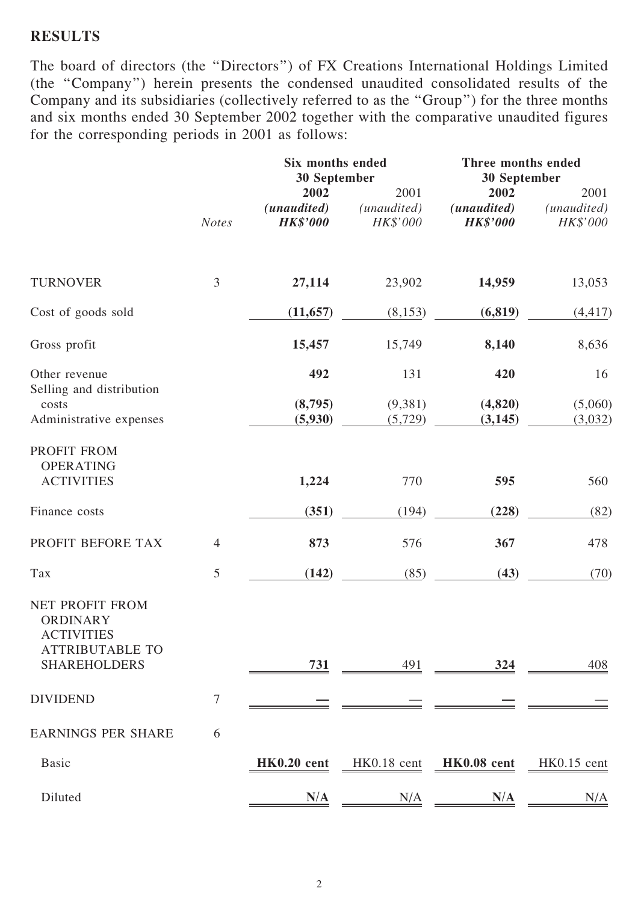### **RESULTS**

The board of directors (the ''Directors'') of FX Creations International Holdings Limited (the ''Company'') herein presents the condensed unaudited consolidated results of the Company and its subsidiaries (collectively referred to as the ''Group'') for the three months and six months ended 30 September 2002 together with the comparative unaudited figures for the corresponding periods in 2001 as follows:

|                                                                                                          |                | Six months ended<br>30 September       |                                 |                                                 | Three months ended<br>30 September |  |  |
|----------------------------------------------------------------------------------------------------------|----------------|----------------------------------------|---------------------------------|-------------------------------------------------|------------------------------------|--|--|
|                                                                                                          | <b>Notes</b>   | 2002<br>(unaudited)<br><b>HK\$'000</b> | 2001<br>(unaudited)<br>HK\$'000 | 2002<br>(unaudited)<br><b>HK\$'000</b>          | 2001<br>(unaudited)<br>HK\$'000    |  |  |
| <b>TURNOVER</b>                                                                                          | 3              | 27,114                                 | 23,902                          | 14,959                                          | 13,053                             |  |  |
| Cost of goods sold                                                                                       |                | (11, 657)                              | (8, 153)                        | (6, 819)                                        | (4, 417)                           |  |  |
| Gross profit                                                                                             |                | 15,457                                 | 15,749                          | 8,140                                           | 8,636                              |  |  |
| Other revenue                                                                                            |                | 492                                    | 131                             | 420                                             | 16                                 |  |  |
| Selling and distribution<br>costs<br>Administrative expenses                                             |                | (8,795)<br>(5,930)                     | (9,381)<br>(5, 729)             | (4,820)<br>(3, 145)                             | (5,060)<br>(3,032)                 |  |  |
| PROFIT FROM<br><b>OPERATING</b><br><b>ACTIVITIES</b>                                                     |                | 1,224                                  | 770                             | 595                                             | 560                                |  |  |
| Finance costs                                                                                            |                | (351)                                  | (194)                           | (228)                                           | (82)                               |  |  |
| PROFIT BEFORE TAX                                                                                        | $\overline{4}$ | 873                                    | 576                             | 367                                             | 478                                |  |  |
| Tax                                                                                                      | 5              | (142)                                  | (85)                            | (43)                                            | (70)                               |  |  |
| NET PROFIT FROM<br><b>ORDINARY</b><br><b>ACTIVITIES</b><br><b>ATTRIBUTABLE TO</b><br><b>SHAREHOLDERS</b> |                | 731                                    | 491                             | 324                                             | 408                                |  |  |
| <b>DIVIDEND</b>                                                                                          | 7              |                                        |                                 |                                                 |                                    |  |  |
| <b>EARNINGS PER SHARE</b>                                                                                | 6              |                                        |                                 |                                                 |                                    |  |  |
| <b>Basic</b>                                                                                             |                |                                        |                                 | HK0.20 cent HK0.18 cent HK0.08 cent HK0.15 cent |                                    |  |  |
| Diluted                                                                                                  |                | N/A                                    | N/A                             | N/A                                             | $N/\underline{A}$                  |  |  |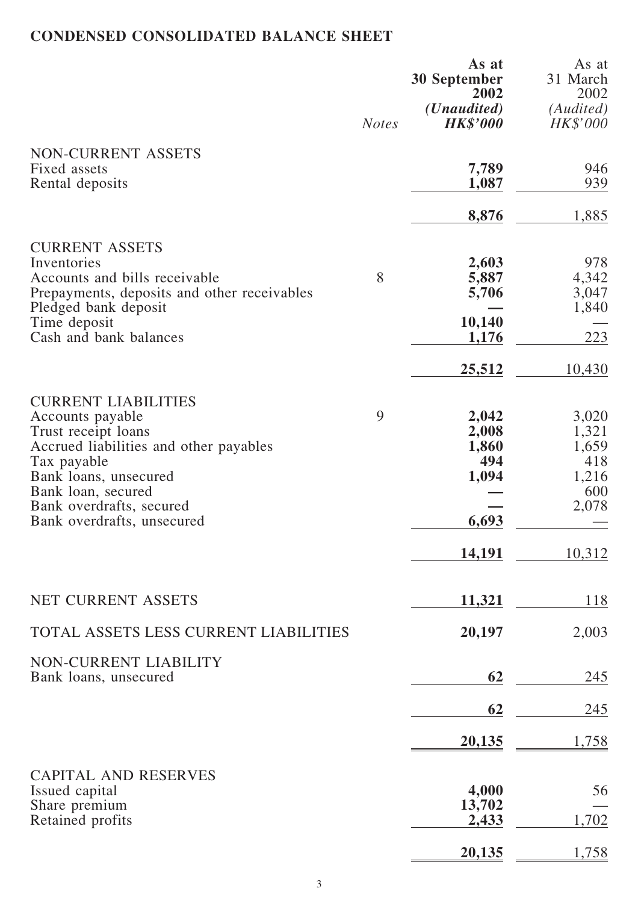# CONDENSED CONSOLIDATED BALANCE SHEET

|                                                                     | <b>Notes</b> | As at<br>30 September<br>2002<br>( <i>Unaudited</i> )<br><b>HK\$'000</b> | As at<br>31 March<br>2002<br>(Audited)<br>HK\$'000 |
|---------------------------------------------------------------------|--------------|--------------------------------------------------------------------------|----------------------------------------------------|
| NON-CURRENT ASSETS<br>Fixed assets                                  |              | 7,789                                                                    | 946                                                |
| Rental deposits                                                     |              | 1,087                                                                    | 939                                                |
|                                                                     |              | 8,876                                                                    | 1,885                                              |
| <b>CURRENT ASSETS</b>                                               |              |                                                                          |                                                    |
| Inventories                                                         |              | 2,603                                                                    | 978                                                |
| Accounts and bills receivable                                       | 8            | 5,887                                                                    | 4,342                                              |
| Prepayments, deposits and other receivables<br>Pledged bank deposit |              | 5,706                                                                    | 3,047<br>1,840                                     |
| Time deposit                                                        |              | 10,140                                                                   |                                                    |
| Cash and bank balances                                              |              | 1,176                                                                    | 223                                                |
|                                                                     |              | 25,512                                                                   | 10,430                                             |
| <b>CURRENT LIABILITIES</b>                                          |              |                                                                          |                                                    |
| Accounts payable                                                    | 9            | 2,042                                                                    | 3,020                                              |
| Trust receipt loans                                                 |              | 2,008                                                                    | 1,321                                              |
| Accrued liabilities and other payables                              |              | 1,860                                                                    | 1,659                                              |
| Tax payable                                                         |              | 494                                                                      | 418                                                |
| Bank loans, unsecured                                               |              | 1,094                                                                    | 1,216                                              |
| Bank loan, secured                                                  |              |                                                                          | 600                                                |
| Bank overdrafts, secured<br>Bank overdrafts, unsecured              |              | 6,693                                                                    | 2,078                                              |
|                                                                     |              |                                                                          |                                                    |
|                                                                     |              | 14,191                                                                   | 10,312                                             |
| <b>NET CURRENT ASSETS</b>                                           |              | <u>11,321</u>                                                            | 118                                                |
| TOTAL ASSETS LESS CURRENT LIABILITIES                               |              | 20,197                                                                   | 2,003                                              |
| NON-CURRENT LIABILITY<br>Bank loans, unsecured                      |              | 62                                                                       | 245                                                |
|                                                                     |              |                                                                          |                                                    |
|                                                                     |              | 62                                                                       | 245                                                |
|                                                                     |              | 20,135                                                                   | 1,758                                              |
| <b>CAPITAL AND RESERVES</b>                                         |              |                                                                          |                                                    |
| Issued capital                                                      |              | 4,000                                                                    | 56                                                 |
| Share premium<br>Retained profits                                   |              | 13,702<br>2,433                                                          | 1,702                                              |
|                                                                     |              | 20,135                                                                   | 1,758                                              |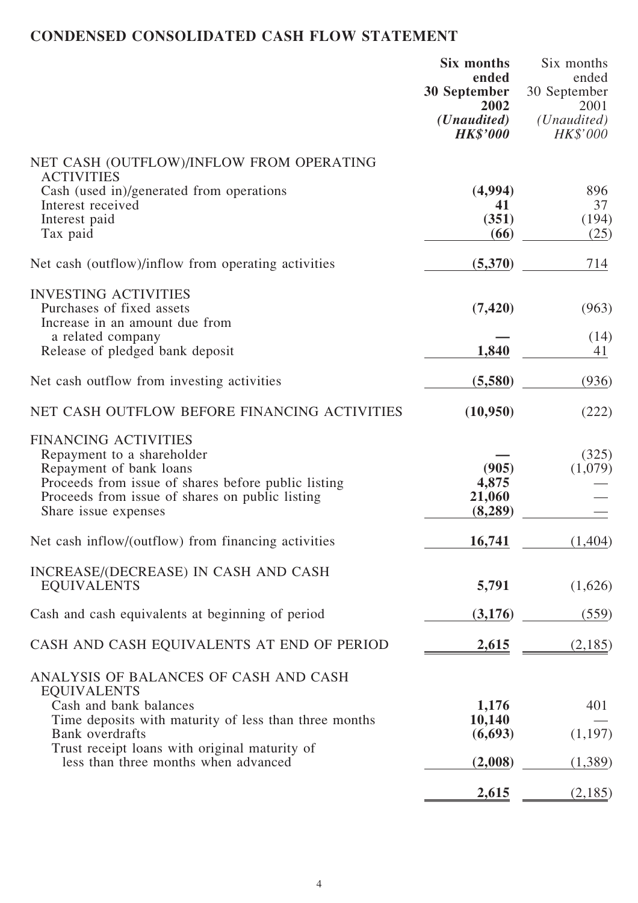# CONDENSED CONSOLIDATED CASH FLOW STATEMENT

|                                                                                                                                                                                                                                                                   | Six months<br>ended<br><b>30 September</b><br>2002<br>( <i>Unaudited</i> )<br><b>HK\$'000</b> | Six months<br>ended<br>30 September<br>2001<br>( <i>Unaudited</i> )<br>HK\$'000 |
|-------------------------------------------------------------------------------------------------------------------------------------------------------------------------------------------------------------------------------------------------------------------|-----------------------------------------------------------------------------------------------|---------------------------------------------------------------------------------|
| NET CASH (OUTFLOW)/INFLOW FROM OPERATING                                                                                                                                                                                                                          |                                                                                               |                                                                                 |
| <b>ACTIVITIES</b><br>Cash (used in)/generated from operations                                                                                                                                                                                                     | (4,994)                                                                                       | 896                                                                             |
| Interest received<br>Interest paid<br>Tax paid                                                                                                                                                                                                                    | 41<br>(351)<br>(66)                                                                           | 37<br>(194)<br>(25)                                                             |
| Net cash (outflow)/inflow from operating activities                                                                                                                                                                                                               | (5,370)                                                                                       | 714                                                                             |
| <b>INVESTING ACTIVITIES</b>                                                                                                                                                                                                                                       |                                                                                               |                                                                                 |
| Purchases of fixed assets<br>Increase in an amount due from                                                                                                                                                                                                       | (7, 420)                                                                                      | (963)                                                                           |
| a related company<br>Release of pledged bank deposit                                                                                                                                                                                                              | 1,840                                                                                         | (14)<br>41                                                                      |
| Net cash outflow from investing activities                                                                                                                                                                                                                        | (5,580)                                                                                       | (936)                                                                           |
| NET CASH OUTFLOW BEFORE FINANCING ACTIVITIES                                                                                                                                                                                                                      | (10,950)                                                                                      | (222)                                                                           |
| <b>FINANCING ACTIVITIES</b><br>Repayment to a shareholder<br>Repayment of bank loans<br>Proceeds from issue of shares before public listing<br>Proceeds from issue of shares on public listing<br>Share issue expenses                                            | (905)<br>4,875<br>21,060<br>(8,289)                                                           | (325)<br>(1,079)                                                                |
| Net cash inflow/(outflow) from financing activities                                                                                                                                                                                                               | <u>16,741</u>                                                                                 | (1,404)                                                                         |
| INCREASE/(DECREASE) IN CASH AND CASH<br><b>EQUIVALENTS</b>                                                                                                                                                                                                        | 5,791                                                                                         | (1,626)                                                                         |
| Cash and cash equivalents at beginning of period                                                                                                                                                                                                                  | (3,176)                                                                                       | (559)                                                                           |
| CASH AND CASH EQUIVALENTS AT END OF PERIOD                                                                                                                                                                                                                        | <u>2,615</u>                                                                                  | (2,185)                                                                         |
| ANALYSIS OF BALANCES OF CASH AND CASH<br><b>EQUIVALENTS</b><br>Cash and bank balances<br>Time deposits with maturity of less than three months<br><b>Bank</b> overdrafts<br>Trust receipt loans with original maturity of<br>less than three months when advanced | 1,176<br>10,140<br>(6,693)<br>(2,008)                                                         | 401<br>(1,197)<br>(1,389)                                                       |
|                                                                                                                                                                                                                                                                   | 2,615                                                                                         | (2,185)                                                                         |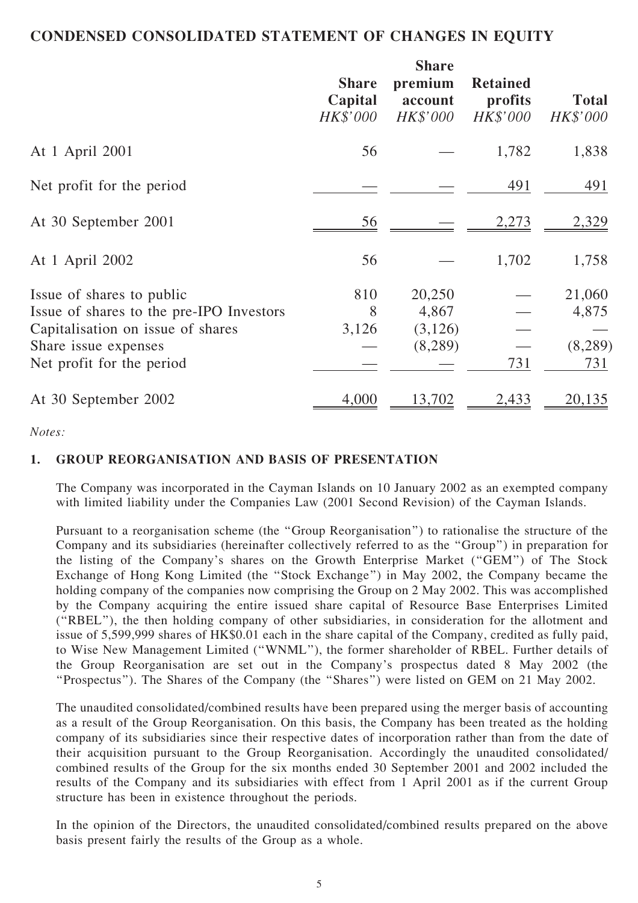#### CONDENSED CONSOLIDATED STATEMENT OF CHANGES IN EQUITY

|                                                                                                                                                                 | <b>Share</b><br>Capital<br>HK\$'000 | <b>Share</b><br>premium<br>account<br>HK\$'000 | <b>Retained</b><br>profits<br>HK\$'000 | <b>Total</b><br>HK\$'000          |
|-----------------------------------------------------------------------------------------------------------------------------------------------------------------|-------------------------------------|------------------------------------------------|----------------------------------------|-----------------------------------|
| At 1 April 2001                                                                                                                                                 | 56                                  |                                                | 1,782                                  | 1,838                             |
| Net profit for the period                                                                                                                                       |                                     |                                                | 491                                    | 491                               |
| At 30 September 2001                                                                                                                                            | 56                                  |                                                | 2,273                                  | 2,329                             |
| At 1 April 2002                                                                                                                                                 | 56                                  |                                                | 1,702                                  | 1,758                             |
| Issue of shares to public<br>Issue of shares to the pre-IPO Investors<br>Capitalisation on issue of shares<br>Share issue expenses<br>Net profit for the period | 810<br>8<br>3,126                   | 20,250<br>4,867<br>(3,126)<br>(8,289)          | 731                                    | 21,060<br>4,875<br>(8,289)<br>731 |
| At 30 September 2002                                                                                                                                            | 4,000                               | 13,702                                         | 2,433                                  | 20,135                            |

#### Notes:

#### 1. GROUP REORGANISATION AND BASIS OF PRESENTATION

The Company was incorporated in the Cayman Islands on 10 January 2002 as an exempted company with limited liability under the Companies Law (2001 Second Revision) of the Cayman Islands.

Pursuant to a reorganisation scheme (the ''Group Reorganisation'') to rationalise the structure of the Company and its subsidiaries (hereinafter collectively referred to as the ''Group'') in preparation for the listing of the Company's shares on the Growth Enterprise Market (''GEM'') of The Stock Exchange of Hong Kong Limited (the "Stock Exchange") in May 2002, the Company became the holding company of the companies now comprising the Group on 2 May 2002. This was accomplished by the Company acquiring the entire issued share capital of Resource Base Enterprises Limited (''RBEL''), the then holding company of other subsidiaries, in consideration for the allotment and issue of 5,599,999 shares of HK\$0.01 each in the share capital of the Company, credited as fully paid, to Wise New Management Limited (''WNML''), the former shareholder of RBEL. Further details of the Group Reorganisation are set out in the Company's prospectus dated 8 May 2002 (the ''Prospectus''). The Shares of the Company (the ''Shares'') were listed on GEM on 21 May 2002.

The unaudited consolidated/combined results have been prepared using the merger basis of accounting as a result of the Group Reorganisation. On this basis, the Company has been treated as the holding company of its subsidiaries since their respective dates of incorporation rather than from the date of their acquisition pursuant to the Group Reorganisation. Accordingly the unaudited consolidated/ combined results of the Group for the six months ended 30 September 2001 and 2002 included the results of the Company and its subsidiaries with effect from 1 April 2001 as if the current Group structure has been in existence throughout the periods.

In the opinion of the Directors, the unaudited consolidated/combined results prepared on the above basis present fairly the results of the Group as a whole.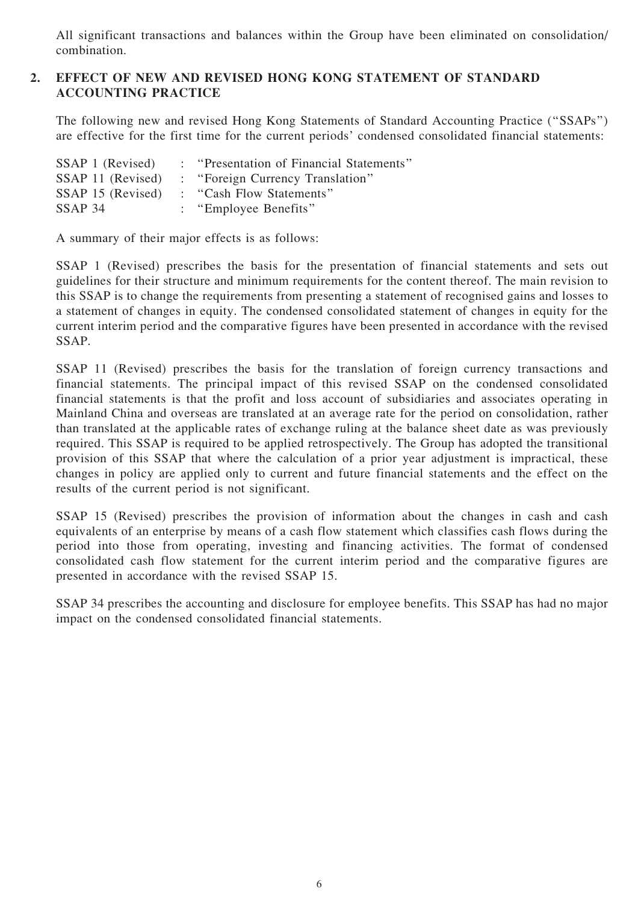All significant transactions and balances within the Group have been eliminated on consolidation/ combination.

#### 2. EFFECT OF NEW AND REVISED HONG KONG STATEMENT OF STANDARD ACCOUNTING PRACTICE

The following new and revised Hong Kong Statements of Standard Accounting Practice (''SSAPs'') are effective for the first time for the current periods' condensed consolidated financial statements:

| SSAP 1 (Revised)  | : "Presentation of Financial Statements" |
|-------------------|------------------------------------------|
| SSAP 11 (Revised) | : "Foreign Currency Translation"         |
| SSAP 15 (Revised) | : "Cash Flow Statements"                 |
| SSAP 34           | : "Employee Benefits"                    |

A summary of their major effects is as follows:

SSAP 1 (Revised) prescribes the basis for the presentation of financial statements and sets out guidelines for their structure and minimum requirements for the content thereof. The main revision to this SSAP is to change the requirements from presenting a statement of recognised gains and losses to a statement of changes in equity. The condensed consolidated statement of changes in equity for the current interim period and the comparative figures have been presented in accordance with the revised SSAP.

SSAP 11 (Revised) prescribes the basis for the translation of foreign currency transactions and financial statements. The principal impact of this revised SSAP on the condensed consolidated financial statements is that the profit and loss account of subsidiaries and associates operating in Mainland China and overseas are translated at an average rate for the period on consolidation, rather than translated at the applicable rates of exchange ruling at the balance sheet date as was previously required. This SSAP is required to be applied retrospectively. The Group has adopted the transitional provision of this SSAP that where the calculation of a prior year adjustment is impractical, these changes in policy are applied only to current and future financial statements and the effect on the results of the current period is not significant.

SSAP 15 (Revised) prescribes the provision of information about the changes in cash and cash equivalents of an enterprise by means of a cash flow statement which classifies cash flows during the period into those from operating, investing and financing activities. The format of condensed consolidated cash flow statement for the current interim period and the comparative figures are presented in accordance with the revised SSAP 15.

SSAP 34 prescribes the accounting and disclosure for employee benefits. This SSAP has had no major impact on the condensed consolidated financial statements.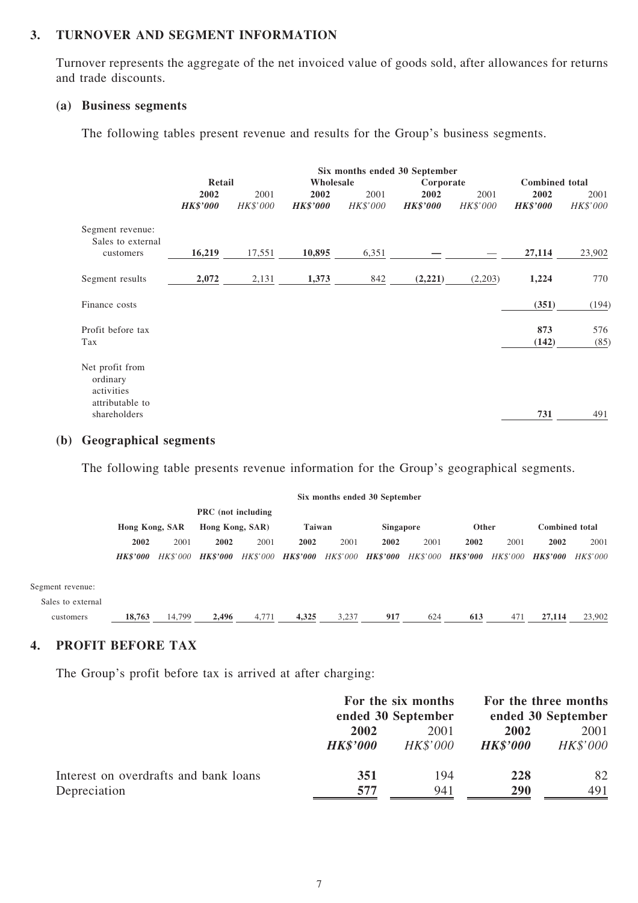#### 3. TURNOVER AND SEGMENT INFORMATION

Turnover represents the aggregate of the net invoiced value of goods sold, after allowances for returns and trade discounts.

#### (a) Business segments

The following tables present revenue and results for the Group's business segments.

|                                                                              |                 | Six months ended 30 September |                 |           |                 |           |                       |             |
|------------------------------------------------------------------------------|-----------------|-------------------------------|-----------------|-----------|-----------------|-----------|-----------------------|-------------|
|                                                                              | Retail          |                               |                 | Wholesale |                 | Corporate | <b>Combined</b> total |             |
|                                                                              | 2002            | 2001                          | 2002            | 2001      | 2002            | 2001      | 2002                  | 2001        |
|                                                                              | <b>HK\$'000</b> | HK\$'000                      | <b>HK\$'000</b> | HK\$'000  | <b>HK\$'000</b> | HK\$'000  | <b>HK\$'000</b>       | HK\$'000    |
| Segment revenue:<br>Sales to external                                        |                 |                               |                 |           |                 |           |                       |             |
| customers                                                                    | 16,219          | 17,551                        | 10,895          | 6,351     |                 |           | 27,114                | 23,902      |
| Segment results                                                              | 2,072           | 2,131                         | 1,373           | 842       | (2,221)         | (2,203)   | 1,224                 | 770         |
| Finance costs                                                                |                 |                               |                 |           |                 |           | (351)                 | (194)       |
| Profit before tax<br>Tax                                                     |                 |                               |                 |           |                 |           | 873<br>(142)          | 576<br>(85) |
| Net profit from<br>ordinary<br>activities<br>attributable to<br>shareholders |                 |                               |                 |           |                 |           | 731                   | 491         |

#### (b) Geographical segments

The following table presents revenue information for the Group's geographical segments.

|                   |                        |          |                           |          |                 |          | Six months ended 30 September |      |                   |                 |                        |                 |
|-------------------|------------------------|----------|---------------------------|----------|-----------------|----------|-------------------------------|------|-------------------|-----------------|------------------------|-----------------|
|                   |                        |          | <b>PRC</b> (not including |          |                 |          |                               |      |                   |                 |                        |                 |
|                   | Hong Kong, SAR         |          | Hong Kong, SAR)           |          | <b>Taiwan</b>   |          | Singapore                     |      | Other             |                 | <b>Combined</b> total  |                 |
|                   | 2002                   | 2001     | 2002                      | 2001     | 2002            | 2001     | 2002                          | 2001 | 2002              | 2001            | 2002                   | 2001            |
|                   | <i><b>HK\$'000</b></i> | HK\$'000 | <b>HK\$'000</b>           | HK\$'000 | <b>HK\$'000</b> | HK\$'000 | <i><b>HK\$'000</b></i>        |      | HK\$'000 HK\$'000 | <i>HK\$'000</i> | <i><b>HK\$'000</b></i> | <b>HK\$'000</b> |
| Segment revenue:  |                        |          |                           |          |                 |          |                               |      |                   |                 |                        |                 |
| Sales to external |                        |          |                           |          |                 |          |                               |      |                   |                 |                        |                 |
| customers         | 18,763                 | 14,799   | 2,496                     | 4,771    | 4,325           | 3,237    | 917                           | 624  | 613               | 471             | 27,114                 | 23,902          |

#### 4. PROFIT BEFORE TAX

The Group's profit before tax is arrived at after charging:

|                                       |                 | For the six months<br>ended 30 September | For the three months<br>ended 30 September |          |  |
|---------------------------------------|-----------------|------------------------------------------|--------------------------------------------|----------|--|
|                                       | 2002<br>2001    |                                          | 2002                                       | 2001     |  |
|                                       | <b>HK\$'000</b> | HK\$'000                                 | <b>HK\$'000</b>                            | HK\$'000 |  |
| Interest on overdrafts and bank loans | 351             | 194                                      | 228                                        | 82       |  |
| Depreciation                          | 577             | 941                                      | 290                                        | 491      |  |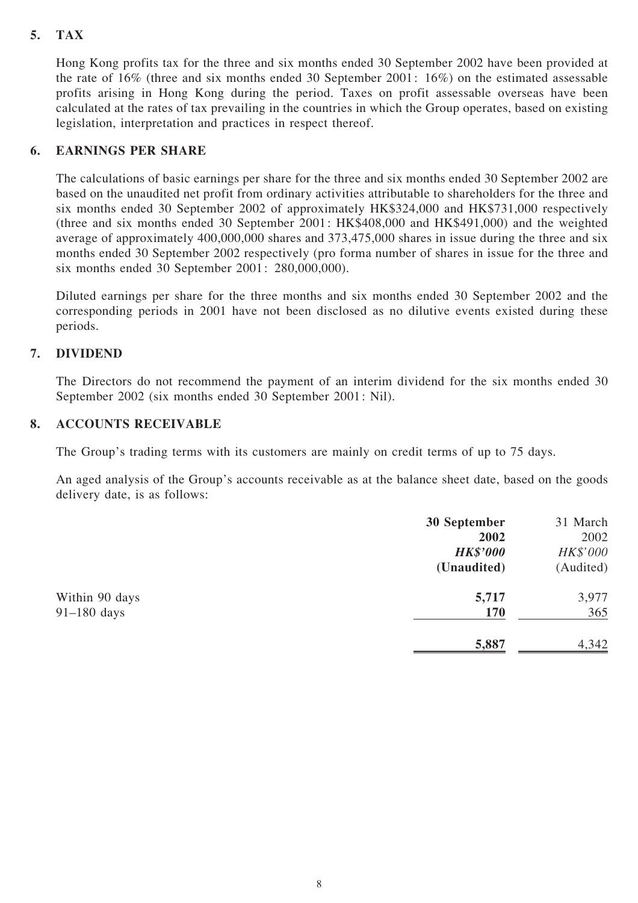#### 5. TAX

Hong Kong profits tax for the three and six months ended 30 September 2002 have been provided at the rate of 16% (three and six months ended 30 September 2001: 16%) on the estimated assessable profits arising in Hong Kong during the period. Taxes on profit assessable overseas have been calculated at the rates of tax prevailing in the countries in which the Group operates, based on existing legislation, interpretation and practices in respect thereof.

#### 6. EARNINGS PER SHARE

The calculations of basic earnings per share for the three and six months ended 30 September 2002 are based on the unaudited net profit from ordinary activities attributable to shareholders for the three and six months ended 30 September 2002 of approximately HK\$324,000 and HK\$731,000 respectively (three and six months ended 30 September 2001: HK\$408,000 and HK\$491,000) and the weighted average of approximately 400,000,000 shares and 373,475,000 shares in issue during the three and six months ended 30 September 2002 respectively (pro forma number of shares in issue for the three and six months ended 30 September 2001: 280,000,000).

Diluted earnings per share for the three months and six months ended 30 September 2002 and the corresponding periods in 2001 have not been disclosed as no dilutive events existed during these periods.

#### 7. DIVIDEND

The Directors do not recommend the payment of an interim dividend for the six months ended 30 September 2002 (six months ended 30 September 2001: Nil).

#### 8. ACCOUNTS RECEIVABLE

The Group's trading terms with its customers are mainly on credit terms of up to 75 days.

An aged analysis of the Group's accounts receivable as at the balance sheet date, based on the goods delivery date, is as follows:

|                | 30 September    | 31 March  |
|----------------|-----------------|-----------|
|                | 2002            | 2002      |
|                | <b>HK\$'000</b> | HK\$'000  |
|                | (Unaudited)     | (Audited) |
| Within 90 days | 5,717           | 3,977     |
| $91-180$ days  | <b>170</b>      | 365       |
|                | 5,887           | 4,342     |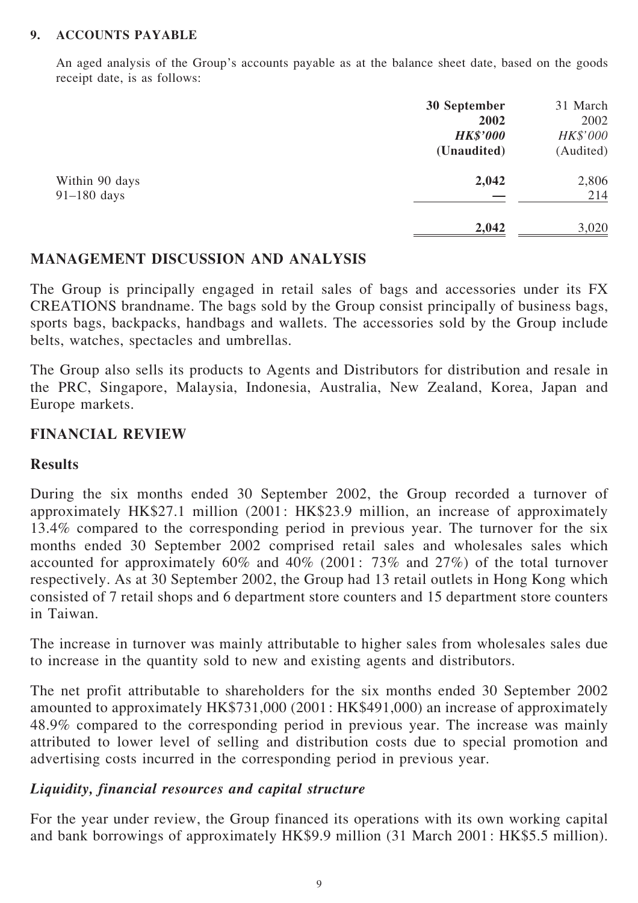#### 9. ACCOUNTS PAYABLE

An aged analysis of the Group's accounts payable as at the balance sheet date, based on the goods receipt date, is as follows:

|                | 30 September    | 31 March  |
|----------------|-----------------|-----------|
|                | 2002            | 2002      |
|                | <b>HK\$'000</b> | HK\$'000  |
|                | (Unaudited)     | (Audited) |
| Within 90 days | 2,042           | 2,806     |
| $91-180$ days  |                 | 214       |
|                | 2,042           | 3,020     |

### MANAGEMENT DISCUSSION AND ANALYSIS

The Group is principally engaged in retail sales of bags and accessories under its FX CREATIONS brandname. The bags sold by the Group consist principally of business bags, sports bags, backpacks, handbags and wallets. The accessories sold by the Group include belts, watches, spectacles and umbrellas.

The Group also sells its products to Agents and Distributors for distribution and resale in the PRC, Singapore, Malaysia, Indonesia, Australia, New Zealand, Korea, Japan and Europe markets.

# FINANCIAL REVIEW

### Results

During the six months ended 30 September 2002, the Group recorded a turnover of approximately HK\$27.1 million (2001: HK\$23.9 million, an increase of approximately 13.4% compared to the corresponding period in previous year. The turnover for the six months ended 30 September 2002 comprised retail sales and wholesales sales which accounted for approximately 60% and 40% (2001: 73% and 27%) of the total turnover respectively. As at 30 September 2002, the Group had 13 retail outlets in Hong Kong which consisted of 7 retail shops and 6 department store counters and 15 department store counters in Taiwan.

The increase in turnover was mainly attributable to higher sales from wholesales sales due to increase in the quantity sold to new and existing agents and distributors.

The net profit attributable to shareholders for the six months ended 30 September 2002 amounted to approximately HK\$731,000 (2001: HK\$491,000) an increase of approximately 48.9% compared to the corresponding period in previous year. The increase was mainly attributed to lower level of selling and distribution costs due to special promotion and advertising costs incurred in the corresponding period in previous year.

# Liquidity, financial resources and capital structure

For the year under review, the Group financed its operations with its own working capital and bank borrowings of approximately HK\$9.9 million (31 March 2001: HK\$5.5 million).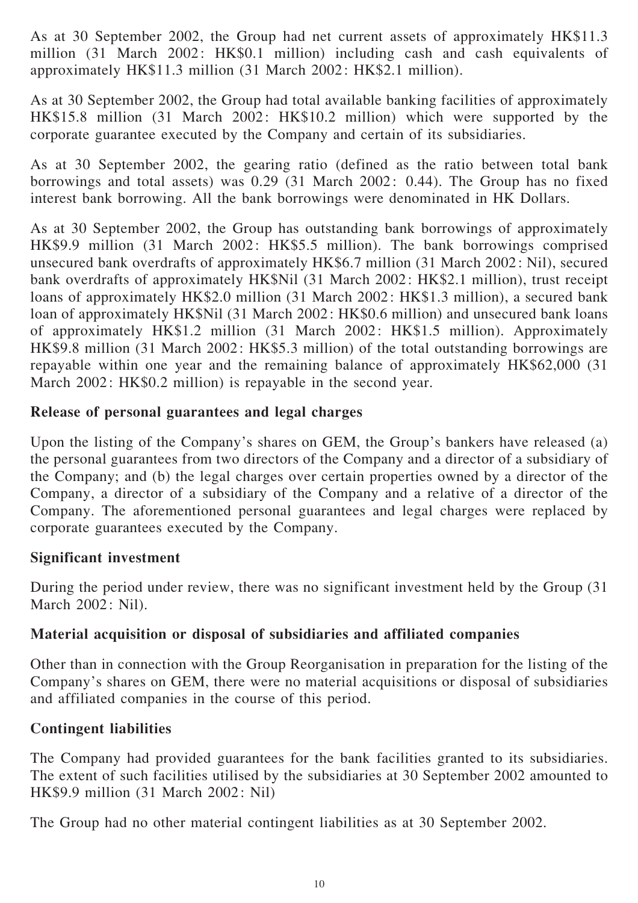As at 30 September 2002, the Group had net current assets of approximately HK\$11.3 million (31 March 2002: HK\$0.1 million) including cash and cash equivalents of approximately HK\$11.3 million (31 March 2002: HK\$2.1 million).

As at 30 September 2002, the Group had total available banking facilities of approximately HK\$15.8 million (31 March 2002: HK\$10.2 million) which were supported by the corporate guarantee executed by the Company and certain of its subsidiaries.

As at 30 September 2002, the gearing ratio (defined as the ratio between total bank borrowings and total assets) was 0.29 (31 March 2002: 0.44). The Group has no fixed interest bank borrowing. All the bank borrowings were denominated in HK Dollars.

As at 30 September 2002, the Group has outstanding bank borrowings of approximately HK\$9.9 million (31 March 2002: HK\$5.5 million). The bank borrowings comprised unsecured bank overdrafts of approximately HK\$6.7 million (31 March 2002: Nil), secured bank overdrafts of approximately HK\$Nil (31 March 2002: HK\$2.1 million), trust receipt loans of approximately HK\$2.0 million (31 March 2002: HK\$1.3 million), a secured bank loan of approximately HK\$Nil (31 March 2002: HK\$0.6 million) and unsecured bank loans of approximately HK\$1.2 million (31 March 2002: HK\$1.5 million). Approximately HK\$9.8 million (31 March 2002: HK\$5.3 million) of the total outstanding borrowings are repayable within one year and the remaining balance of approximately HK\$62,000 (31 March 2002: HK\$0.2 million) is repayable in the second year.

# Release of personal guarantees and legal charges

Upon the listing of the Company's shares on GEM, the Group's bankers have released (a) the personal guarantees from two directors of the Company and a director of a subsidiary of the Company; and (b) the legal charges over certain properties owned by a director of the Company, a director of a subsidiary of the Company and a relative of a director of the Company. The aforementioned personal guarantees and legal charges were replaced by corporate guarantees executed by the Company.

#### Significant investment

During the period under review, there was no significant investment held by the Group (31 March 2002: Nil).

# Material acquisition or disposal of subsidiaries and affiliated companies

Other than in connection with the Group Reorganisation in preparation for the listing of the Company's shares on GEM, there were no material acquisitions or disposal of subsidiaries and affiliated companies in the course of this period.

# Contingent liabilities

The Company had provided guarantees for the bank facilities granted to its subsidiaries. The extent of such facilities utilised by the subsidiaries at 30 September 2002 amounted to HK\$9.9 million (31 March 2002: Nil)

The Group had no other material contingent liabilities as at 30 September 2002.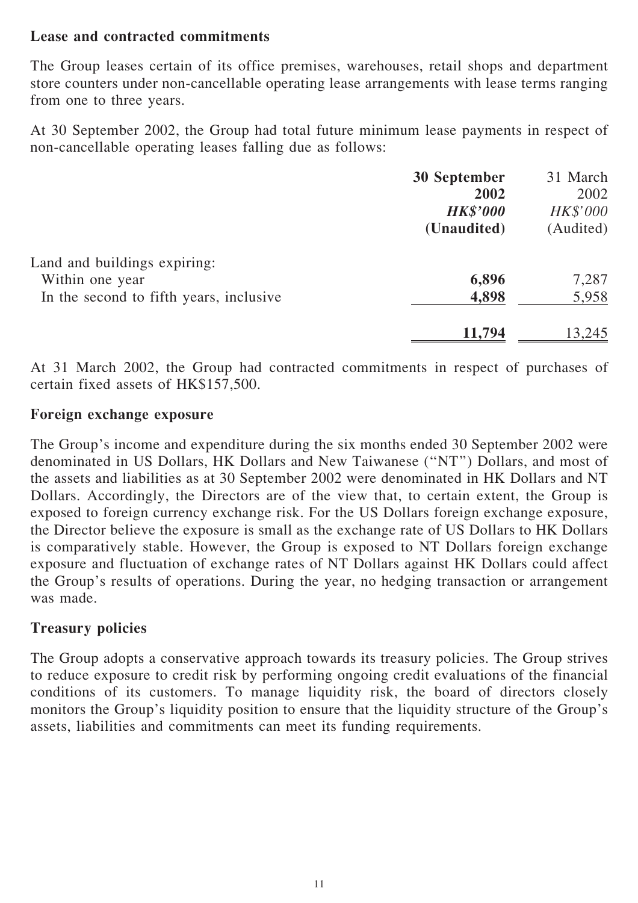#### Lease and contracted commitments

The Group leases certain of its office premises, warehouses, retail shops and department store counters under non-cancellable operating lease arrangements with lease terms ranging from one to three years.

At 30 September 2002, the Group had total future minimum lease payments in respect of non-cancellable operating leases falling due as follows:

|                                         | <b>30 September</b> | 31 March  |
|-----------------------------------------|---------------------|-----------|
|                                         | 2002                | 2002      |
|                                         | <b>HK\$'000</b>     | HK\$'000  |
|                                         | (Unaudited)         | (Audited) |
| Land and buildings expiring:            |                     |           |
| Within one year                         | 6,896               | 7,287     |
| In the second to fifth years, inclusive | 4,898               | 5,958     |
|                                         | 11,794              | 13,245    |

At 31 March 2002, the Group had contracted commitments in respect of purchases of certain fixed assets of HK\$157,500.

#### Foreign exchange exposure

The Group's income and expenditure during the six months ended 30 September 2002 were denominated in US Dollars, HK Dollars and New Taiwanese (''NT'') Dollars, and most of the assets and liabilities as at 30 September 2002 were denominated in HK Dollars and NT Dollars. Accordingly, the Directors are of the view that, to certain extent, the Group is exposed to foreign currency exchange risk. For the US Dollars foreign exchange exposure, the Director believe the exposure is small as the exchange rate of US Dollars to HK Dollars is comparatively stable. However, the Group is exposed to NT Dollars foreign exchange exposure and fluctuation of exchange rates of NT Dollars against HK Dollars could affect the Group's results of operations. During the year, no hedging transaction or arrangement was made.

#### Treasury policies

The Group adopts a conservative approach towards its treasury policies. The Group strives to reduce exposure to credit risk by performing ongoing credit evaluations of the financial conditions of its customers. To manage liquidity risk, the board of directors closely monitors the Group's liquidity position to ensure that the liquidity structure of the Group's assets, liabilities and commitments can meet its funding requirements.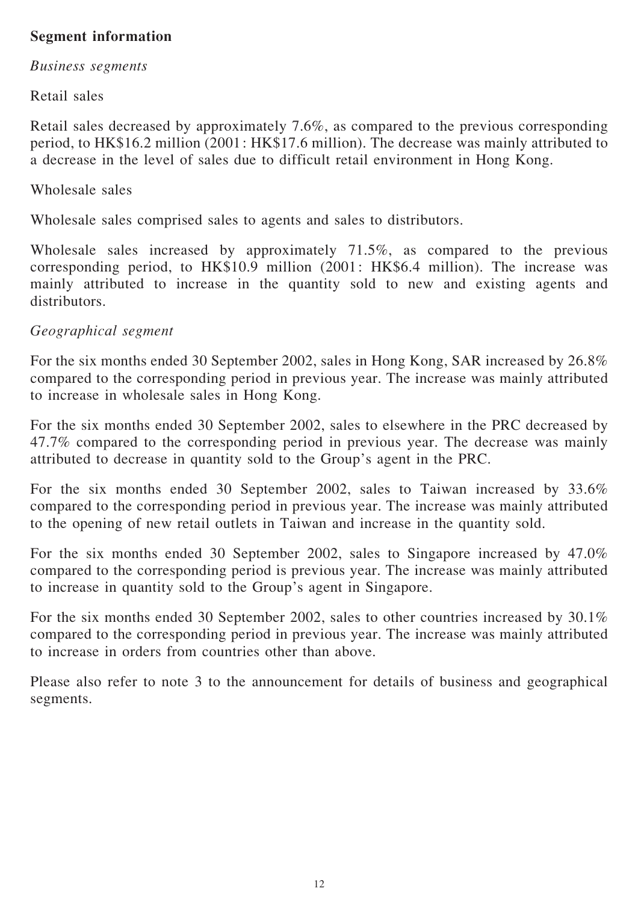# Segment information

#### Business segments

Retail sales

Retail sales decreased by approximately 7.6%, as compared to the previous corresponding period, to HK\$16.2 million (2001: HK\$17.6 million). The decrease was mainly attributed to a decrease in the level of sales due to difficult retail environment in Hong Kong.

Wholesale sales

Wholesale sales comprised sales to agents and sales to distributors.

Wholesale sales increased by approximately 71.5%, as compared to the previous corresponding period, to HK\$10.9 million (2001: HK\$6.4 million). The increase was mainly attributed to increase in the quantity sold to new and existing agents and distributors.

# Geographical segment

For the six months ended 30 September 2002, sales in Hong Kong, SAR increased by 26.8% compared to the corresponding period in previous year. The increase was mainly attributed to increase in wholesale sales in Hong Kong.

For the six months ended 30 September 2002, sales to elsewhere in the PRC decreased by 47.7% compared to the corresponding period in previous year. The decrease was mainly attributed to decrease in quantity sold to the Group's agent in the PRC.

For the six months ended 30 September 2002, sales to Taiwan increased by 33.6% compared to the corresponding period in previous year. The increase was mainly attributed to the opening of new retail outlets in Taiwan and increase in the quantity sold.

For the six months ended 30 September 2002, sales to Singapore increased by 47.0% compared to the corresponding period is previous year. The increase was mainly attributed to increase in quantity sold to the Group's agent in Singapore.

For the six months ended 30 September 2002, sales to other countries increased by 30.1% compared to the corresponding period in previous year. The increase was mainly attributed to increase in orders from countries other than above.

Please also refer to note 3 to the announcement for details of business and geographical segments.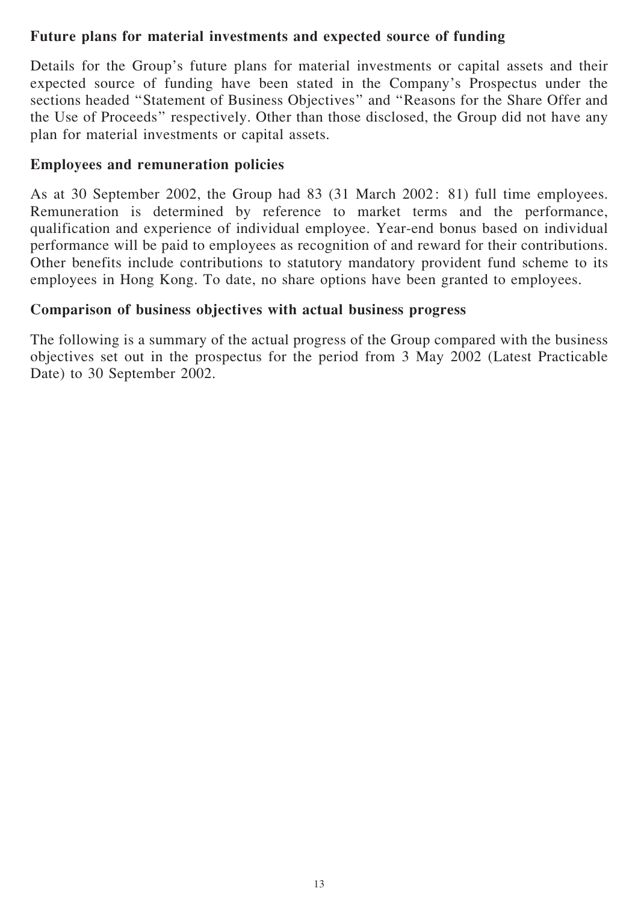### Future plans for material investments and expected source of funding

Details for the Group's future plans for material investments or capital assets and their expected source of funding have been stated in the Company's Prospectus under the sections headed ''Statement of Business Objectives'' and ''Reasons for the Share Offer and the Use of Proceeds'' respectively. Other than those disclosed, the Group did not have any plan for material investments or capital assets.

### Employees and remuneration policies

As at 30 September 2002, the Group had 83 (31 March 2002: 81) full time employees. Remuneration is determined by reference to market terms and the performance, qualification and experience of individual employee. Year-end bonus based on individual performance will be paid to employees as recognition of and reward for their contributions. Other benefits include contributions to statutory mandatory provident fund scheme to its employees in Hong Kong. To date, no share options have been granted to employees.

### Comparison of business objectives with actual business progress

The following is a summary of the actual progress of the Group compared with the business objectives set out in the prospectus for the period from 3 May 2002 (Latest Practicable Date) to 30 September 2002.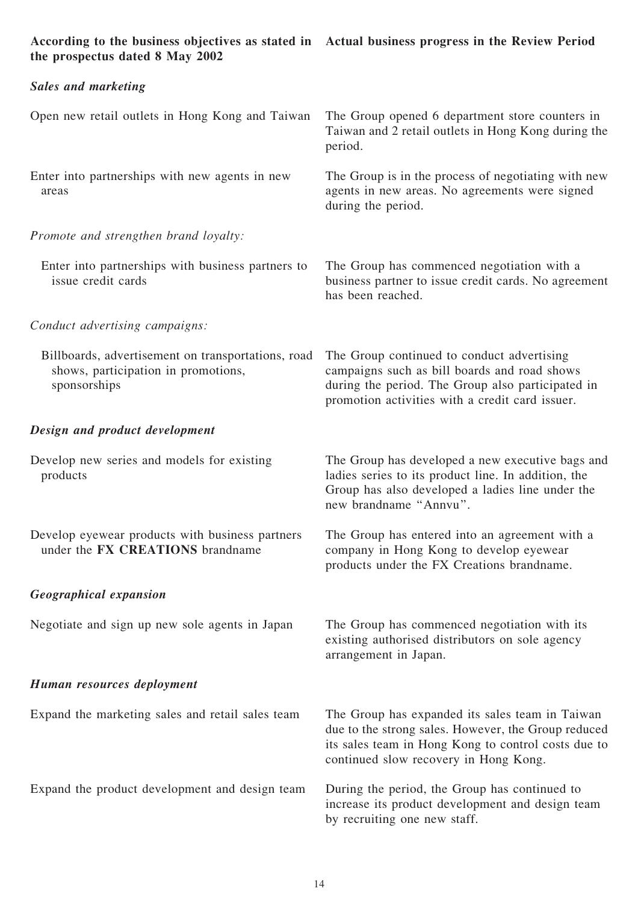| According to the business objectives as stated in Actual business progress in the Review Period<br>the prospectus dated 8 May 2002 |                                                                                                                                                                                                        |
|------------------------------------------------------------------------------------------------------------------------------------|--------------------------------------------------------------------------------------------------------------------------------------------------------------------------------------------------------|
| <b>Sales and marketing</b>                                                                                                         |                                                                                                                                                                                                        |
| Open new retail outlets in Hong Kong and Taiwan                                                                                    | The Group opened 6 department store counters in<br>Taiwan and 2 retail outlets in Hong Kong during the<br>period.                                                                                      |
| Enter into partnerships with new agents in new<br>areas                                                                            | The Group is in the process of negotiating with new<br>agents in new areas. No agreements were signed<br>during the period.                                                                            |
| Promote and strengthen brand loyalty:                                                                                              |                                                                                                                                                                                                        |
| Enter into partnerships with business partners to<br>issue credit cards                                                            | The Group has commenced negotiation with a<br>business partner to issue credit cards. No agreement<br>has been reached.                                                                                |
| Conduct advertising campaigns:                                                                                                     |                                                                                                                                                                                                        |
| Billboards, advertisement on transportations, road<br>shows, participation in promotions,<br>sponsorships                          | The Group continued to conduct advertising<br>campaigns such as bill boards and road shows<br>during the period. The Group also participated in<br>promotion activities with a credit card issuer.     |
| Design and product development                                                                                                     |                                                                                                                                                                                                        |
| Develop new series and models for existing<br>products                                                                             | The Group has developed a new executive bags and<br>ladies series to its product line. In addition, the<br>Group has also developed a ladies line under the<br>new brandname "Annvu".                  |
| Develop eyewear products with business partners<br>under the FX CREATIONS brandname                                                | The Group has entered into an agreement with a<br>company in Hong Kong to develop eyewear<br>products under the FX Creations brandname.                                                                |
| <b>Geographical expansion</b>                                                                                                      |                                                                                                                                                                                                        |
| Negotiate and sign up new sole agents in Japan                                                                                     | The Group has commenced negotiation with its<br>existing authorised distributors on sole agency<br>arrangement in Japan.                                                                               |
| Human resources deployment                                                                                                         |                                                                                                                                                                                                        |
| Expand the marketing sales and retail sales team                                                                                   | The Group has expanded its sales team in Taiwan<br>due to the strong sales. However, the Group reduced<br>its sales team in Hong Kong to control costs due to<br>continued slow recovery in Hong Kong. |
| Expand the product development and design team                                                                                     | During the period, the Group has continued to<br>increase its product development and design team<br>by recruiting one new staff.                                                                      |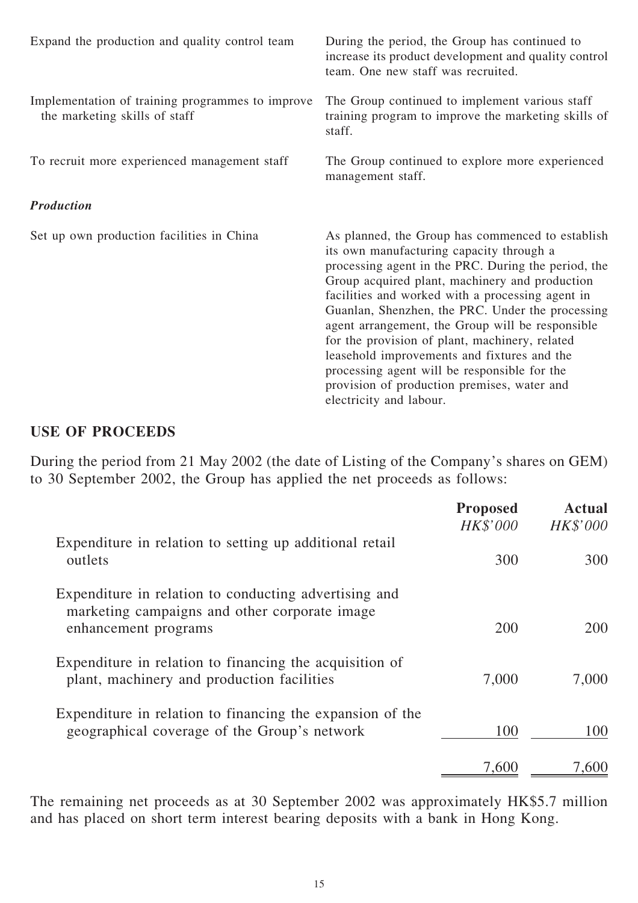| Expand the production and quality control team                                    | During the period, the Group has continued to<br>increase its product development and quality control<br>team. One new staff was recruited.                                                                                                                                                                                                                                                                                                                                                                                                                                                  |  |
|-----------------------------------------------------------------------------------|----------------------------------------------------------------------------------------------------------------------------------------------------------------------------------------------------------------------------------------------------------------------------------------------------------------------------------------------------------------------------------------------------------------------------------------------------------------------------------------------------------------------------------------------------------------------------------------------|--|
| Implementation of training programmes to improve<br>the marketing skills of staff | The Group continued to implement various staff<br>training program to improve the marketing skills of<br>staff.                                                                                                                                                                                                                                                                                                                                                                                                                                                                              |  |
| To recruit more experienced management staff                                      | The Group continued to explore more experienced<br>management staff.                                                                                                                                                                                                                                                                                                                                                                                                                                                                                                                         |  |
| <b>Production</b>                                                                 |                                                                                                                                                                                                                                                                                                                                                                                                                                                                                                                                                                                              |  |
| Set up own production facilities in China                                         | As planned, the Group has commenced to establish<br>its own manufacturing capacity through a<br>processing agent in the PRC. During the period, the<br>Group acquired plant, machinery and production<br>facilities and worked with a processing agent in<br>Guanlan, Shenzhen, the PRC. Under the processing<br>agent arrangement, the Group will be responsible<br>for the provision of plant, machinery, related<br>leasehold improvements and fixtures and the<br>processing agent will be responsible for the<br>provision of production premises, water and<br>electricity and labour. |  |

### USE OF PROCEEDS

During the period from 21 May 2002 (the date of Listing of the Company's shares on GEM) to 30 September 2002, the Group has applied the net proceeds as follows:

|                                                                                                                                | <b>Proposed</b><br><b>HK\$'000</b> | <b>Actual</b><br><b>HK\$'000</b> |
|--------------------------------------------------------------------------------------------------------------------------------|------------------------------------|----------------------------------|
| Expenditure in relation to setting up additional retail<br>outlets                                                             | 300                                | 300                              |
| Expenditure in relation to conducting advertising and<br>marketing campaigns and other corporate image<br>enhancement programs | 200                                | 200                              |
| Expenditure in relation to financing the acquisition of<br>plant, machinery and production facilities                          | 7,000                              | 7,000                            |
| Expenditure in relation to financing the expansion of the<br>geographical coverage of the Group's network                      | 100                                | 100                              |
|                                                                                                                                | 7,600                              | 1.601                            |

The remaining net proceeds as at 30 September 2002 was approximately HK\$5.7 million and has placed on short term interest bearing deposits with a bank in Hong Kong.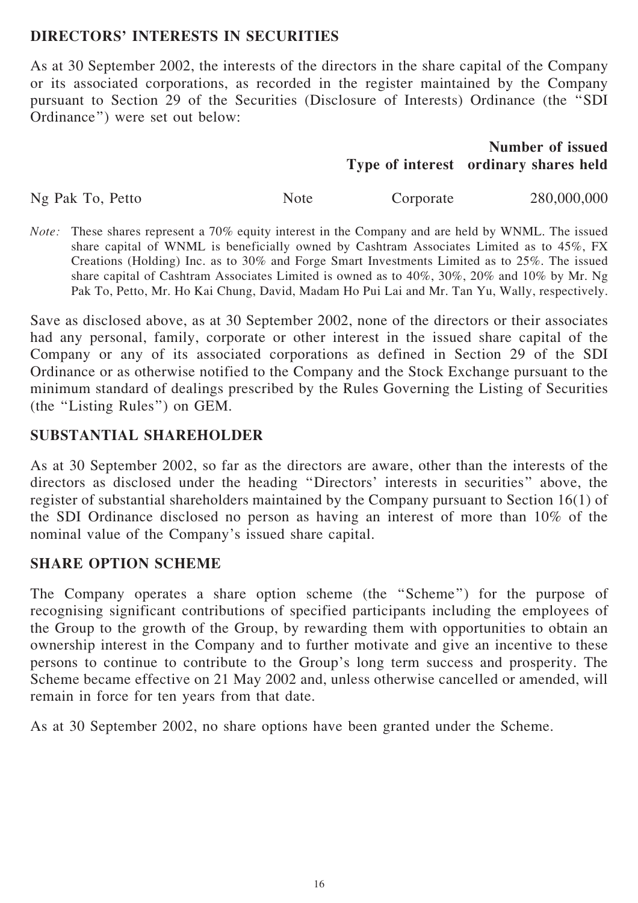### DIRECTORS' INTERESTS IN SECURITIES

As at 30 September 2002, the interests of the directors in the share capital of the Company or its associated corporations, as recorded in the register maintained by the Company pursuant to Section 29 of the Securities (Disclosure of Interests) Ordinance (the ''SDI Ordinance'') were set out below:

# Type of interest ordinary shares held Number of issued

Ng Pak To, Petto Note Corporate 280,000,000

Note: These shares represent a 70% equity interest in the Company and are held by WNML. The issued share capital of WNML is beneficially owned by Cashtram Associates Limited as to 45%, FX Creations (Holding) Inc. as to 30% and Forge Smart Investments Limited as to 25%. The issued share capital of Cashtram Associates Limited is owned as to 40%, 30%, 20% and 10% by Mr. Ng Pak To, Petto, Mr. Ho Kai Chung, David, Madam Ho Pui Lai and Mr. Tan Yu, Wally, respectively.

Save as disclosed above, as at 30 September 2002, none of the directors or their associates had any personal, family, corporate or other interest in the issued share capital of the Company or any of its associated corporations as defined in Section 29 of the SDI Ordinance or as otherwise notified to the Company and the Stock Exchange pursuant to the minimum standard of dealings prescribed by the Rules Governing the Listing of Securities (the ''Listing Rules'') on GEM.

# SUBSTANTIAL SHAREHOLDER

As at 30 September 2002, so far as the directors are aware, other than the interests of the directors as disclosed under the heading ''Directors' interests in securities'' above, the register of substantial shareholders maintained by the Company pursuant to Section 16(1) of the SDI Ordinance disclosed no person as having an interest of more than 10% of the nominal value of the Company's issued share capital.

# SHARE OPTION SCHEME

The Company operates a share option scheme (the ''Scheme'') for the purpose of recognising significant contributions of specified participants including the employees of the Group to the growth of the Group, by rewarding them with opportunities to obtain an ownership interest in the Company and to further motivate and give an incentive to these persons to continue to contribute to the Group's long term success and prosperity. The Scheme became effective on 21 May 2002 and, unless otherwise cancelled or amended, will remain in force for ten years from that date.

As at 30 September 2002, no share options have been granted under the Scheme.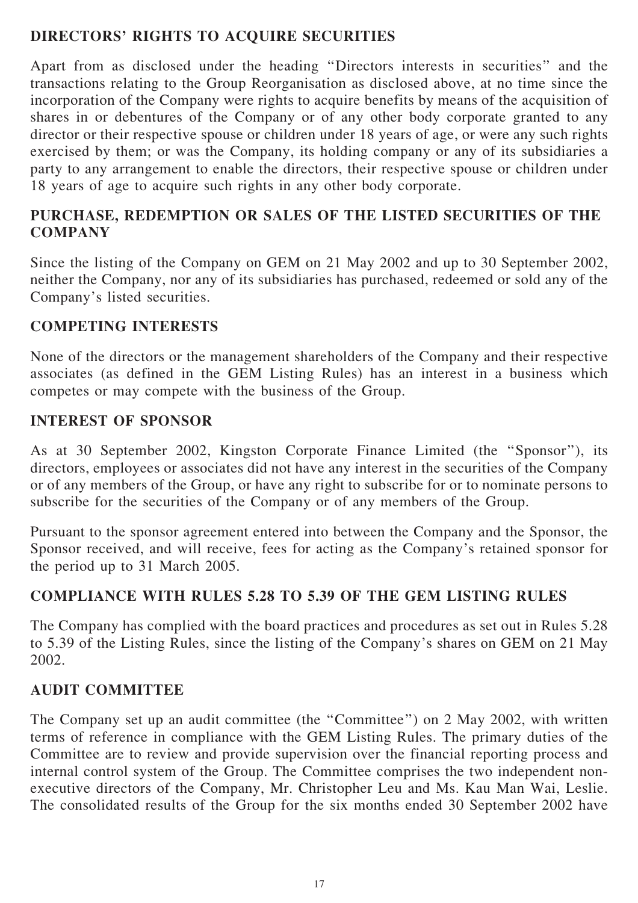# DIRECTORS' RIGHTS TO ACQUIRE SECURITIES

Apart from as disclosed under the heading ''Directors interests in securities'' and the transactions relating to the Group Reorganisation as disclosed above, at no time since the incorporation of the Company were rights to acquire benefits by means of the acquisition of shares in or debentures of the Company or of any other body corporate granted to any director or their respective spouse or children under 18 years of age, or were any such rights exercised by them; or was the Company, its holding company or any of its subsidiaries a party to any arrangement to enable the directors, their respective spouse or children under 18 years of age to acquire such rights in any other body corporate.

# PURCHASE, REDEMPTION OR SALES OF THE LISTED SECURITIES OF THE **COMPANY**

Since the listing of the Company on GEM on 21 May 2002 and up to 30 September 2002, neither the Company, nor any of its subsidiaries has purchased, redeemed or sold any of the Company's listed securities.

# COMPETING INTERESTS

None of the directors or the management shareholders of the Company and their respective associates (as defined in the GEM Listing Rules) has an interest in a business which competes or may compete with the business of the Group.

# INTEREST OF SPONSOR

As at 30 September 2002, Kingston Corporate Finance Limited (the ''Sponsor''), its directors, employees or associates did not have any interest in the securities of the Company or of any members of the Group, or have any right to subscribe for or to nominate persons to subscribe for the securities of the Company or of any members of the Group.

Pursuant to the sponsor agreement entered into between the Company and the Sponsor, the Sponsor received, and will receive, fees for acting as the Company's retained sponsor for the period up to 31 March 2005.

# COMPLIANCE WITH RULES 5.28 TO 5.39 OF THE GEM LISTING RULES

The Company has complied with the board practices and procedures as set out in Rules 5.28 to 5.39 of the Listing Rules, since the listing of the Company's shares on GEM on 21 May 2002.

# AUDIT COMMITTEE

The Company set up an audit committee (the "Committee") on 2 May 2002, with written terms of reference in compliance with the GEM Listing Rules. The primary duties of the Committee are to review and provide supervision over the financial reporting process and internal control system of the Group. The Committee comprises the two independent nonexecutive directors of the Company, Mr. Christopher Leu and Ms. Kau Man Wai, Leslie. The consolidated results of the Group for the six months ended 30 September 2002 have